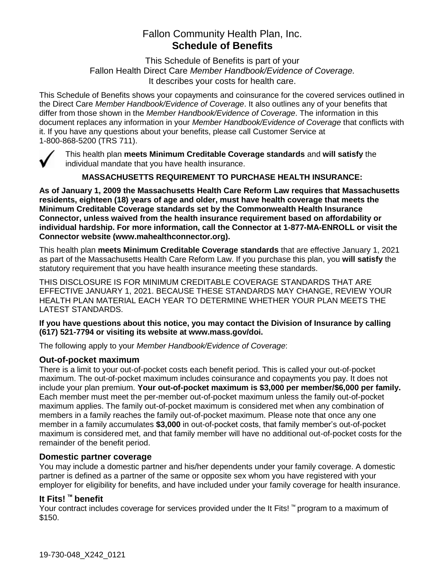# Fallon Community Health Plan, Inc. **Schedule of Benefits**

This Schedule of Benefits is part of your Fallon Health Direct Care *Member Handbook/Evidence of Coverage.*  It describes your costs for health care.

This Schedule of Benefits shows your copayments and coinsurance for the covered services outlined in the Direct Care *Member Handbook/Evidence of Coverage*. It also outlines any of your benefits that differ from those shown in the *Member Handbook/Evidence of Coverage*. The information in this document replaces any information in your *Member Handbook/Evidence of Coverage* that conflicts with it. If you have any questions about your benefits, please call Customer Service at 1-800-868-5200 (TRS 711).



This health plan **meets Minimum Creditable Coverage standards** and **will satisfy** the individual mandate that you have health insurance.

**MASSACHUSETTS REQUIREMENT TO PURCHASE HEALTH INSURANCE:**

**As of January 1, 2009 the Massachusetts Health Care Reform Law requires that Massachusetts residents, eighteen (18) years of age and older, must have health coverage that meets the Minimum Creditable Coverage standards set by the Commonwealth Health Insurance Connector, unless waived from the health insurance requirement based on affordability or individual hardship. For more information, call the Connector at 1-877-MA-ENROLL or visit the Connector website (www.mahealthconnector.org).** 

This health plan **meets Minimum Creditable Coverage standards** that are effective January 1, 2021 as part of the Massachusetts Health Care Reform Law. If you purchase this plan, you **will satisfy** the statutory requirement that you have health insurance meeting these standards.

THIS DISCLOSURE IS FOR MINIMUM CREDITABLE COVERAGE STANDARDS THAT ARE EFFECTIVE JANUARY 1, 2021. BECAUSE THESE STANDARDS MAY CHANGE, REVIEW YOUR HEALTH PLAN MATERIAL EACH YEAR TO DETERMINE WHETHER YOUR PLAN MEETS THE LATEST STANDARDS.

#### **If you have questions about this notice, you may contact the Division of Insurance by calling (617) 521-7794 or visiting its website at www.mass.gov/doi.**

The following apply to your *Member Handbook/Evidence of Coverage*:

#### **Out-of-pocket maximum**

There is a limit to your out-of-pocket costs each benefit period. This is called your out-of-pocket maximum. The out-of-pocket maximum includes coinsurance and copayments you pay. It does not include your plan premium. **Your out-of-pocket maximum is \$3,000 per member/\$6,000 per family.** Each member must meet the per-member out-of-pocket maximum unless the family out-of-pocket maximum applies. The family out-of-pocket maximum is considered met when any combination of members in a family reaches the family out-of-pocket maximum. Please note that once any one member in a family accumulates **\$3,000** in out-of-pocket costs, that family member's out-of-pocket maximum is considered met, and that family member will have no additional out-of-pocket costs for the remainder of the benefit period.

#### **Domestic partner coverage**

You may include a domestic partner and his/her dependents under your family coverage. A domestic partner is defined as a partner of the same or opposite sex whom you have registered with your employer for eligibility for benefits, and have included under your family coverage for health insurance.

# **It Fits! ™ benefit**

Your contract includes coverage for services provided under the It Fits! ™ program to a maximum of \$150.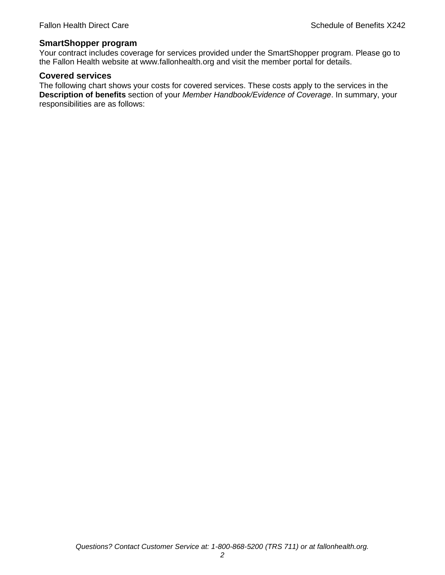#### **SmartShopper program**

Your contract includes coverage for services provided under the SmartShopper program. Please go to the Fallon Health website at www.fallonhealth.org and visit the member portal for details.

#### **Covered services**

The following chart shows your costs for covered services. These costs apply to the services in the **Description of benefits** section of your *Member Handbook/Evidence of Coverage*. In summary, your responsibilities are as follows: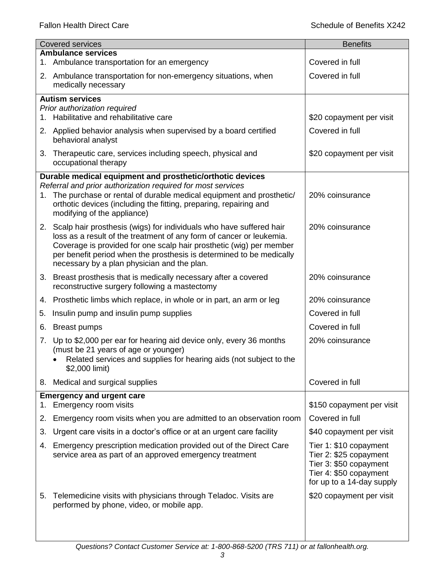|    | <b>Covered services</b>                                                                                                                        | <b>Benefits</b>                                     |
|----|------------------------------------------------------------------------------------------------------------------------------------------------|-----------------------------------------------------|
|    | <b>Ambulance services</b><br>1. Ambulance transportation for an emergency                                                                      | Covered in full                                     |
|    | 2. Ambulance transportation for non-emergency situations, when                                                                                 | Covered in full                                     |
|    | medically necessary                                                                                                                            |                                                     |
|    | <b>Autism services</b>                                                                                                                         |                                                     |
|    | Prior authorization required<br>1. Habilitative and rehabilitative care                                                                        | \$20 copayment per visit                            |
|    |                                                                                                                                                | Covered in full                                     |
|    | 2. Applied behavior analysis when supervised by a board certified<br>behavioral analyst                                                        |                                                     |
|    | 3. Therapeutic care, services including speech, physical and<br>occupational therapy                                                           | \$20 copayment per visit                            |
|    | Durable medical equipment and prosthetic/orthotic devices                                                                                      |                                                     |
|    | Referral and prior authorization required for most services<br>1. The purchase or rental of durable medical equipment and prosthetic/          | 20% coinsurance                                     |
|    | orthotic devices (including the fitting, preparing, repairing and                                                                              |                                                     |
|    | modifying of the appliance)                                                                                                                    |                                                     |
|    | 2. Scalp hair prosthesis (wigs) for individuals who have suffered hair<br>loss as a result of the treatment of any form of cancer or leukemia. | 20% coinsurance                                     |
|    | Coverage is provided for one scalp hair prosthetic (wig) per member                                                                            |                                                     |
|    | per benefit period when the prosthesis is determined to be medically<br>necessary by a plan physician and the plan.                            |                                                     |
|    | 3. Breast prosthesis that is medically necessary after a covered                                                                               | 20% coinsurance                                     |
|    | reconstructive surgery following a mastectomy                                                                                                  |                                                     |
|    | 4. Prosthetic limbs which replace, in whole or in part, an arm or leg                                                                          | 20% coinsurance                                     |
| 5. | Insulin pump and insulin pump supplies                                                                                                         | Covered in full                                     |
| 6. | <b>Breast pumps</b>                                                                                                                            | Covered in full                                     |
|    | 7. Up to \$2,000 per ear for hearing aid device only, every 36 months                                                                          | 20% coinsurance                                     |
|    | (must be 21 years of age or younger)<br>Related services and supplies for hearing aids (not subject to the                                     |                                                     |
|    | \$2,000 limit)                                                                                                                                 |                                                     |
|    | 8. Medical and surgical supplies                                                                                                               | Covered in full                                     |
|    | <b>Emergency and urgent care</b>                                                                                                               |                                                     |
| 1. | Emergency room visits                                                                                                                          | \$150 copayment per visit                           |
| 2. | Emergency room visits when you are admitted to an observation room                                                                             | Covered in full                                     |
| 3. | Urgent care visits in a doctor's office or at an urgent care facility                                                                          | \$40 copayment per visit                            |
| 4. | Emergency prescription medication provided out of the Direct Care<br>service area as part of an approved emergency treatment                   | Tier 1: \$10 copayment<br>Tier 2: \$25 copayment    |
|    |                                                                                                                                                | Tier 3: \$50 copayment                              |
|    |                                                                                                                                                | Tier 4: \$50 copayment<br>for up to a 14-day supply |
|    |                                                                                                                                                |                                                     |
| 5. | Telemedicine visits with physicians through Teladoc. Visits are<br>performed by phone, video, or mobile app.                                   | \$20 copayment per visit                            |
|    |                                                                                                                                                |                                                     |
|    |                                                                                                                                                |                                                     |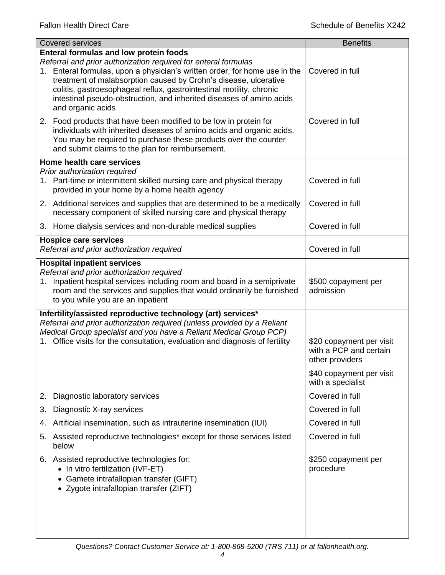| <b>Covered services</b>                                                                                                                                                                                                                                                                                                                                                                                                                | <b>Benefits</b>                                                       |
|----------------------------------------------------------------------------------------------------------------------------------------------------------------------------------------------------------------------------------------------------------------------------------------------------------------------------------------------------------------------------------------------------------------------------------------|-----------------------------------------------------------------------|
| <b>Enteral formulas and low protein foods</b><br>Referral and prior authorization required for enteral formulas<br>1. Enteral formulas, upon a physician's written order, for home use in the<br>treatment of malabsorption caused by Crohn's disease, ulcerative<br>colitis, gastroesophageal reflux, gastrointestinal motility, chronic<br>intestinal pseudo-obstruction, and inherited diseases of amino acids<br>and organic acids | Covered in full                                                       |
| 2. Food products that have been modified to be low in protein for<br>individuals with inherited diseases of amino acids and organic acids.<br>You may be required to purchase these products over the counter<br>and submit claims to the plan for reimbursement.                                                                                                                                                                      | Covered in full                                                       |
| Home health care services                                                                                                                                                                                                                                                                                                                                                                                                              |                                                                       |
| Prior authorization required<br>1. Part-time or intermittent skilled nursing care and physical therapy<br>provided in your home by a home health agency                                                                                                                                                                                                                                                                                | Covered in full                                                       |
| 2. Additional services and supplies that are determined to be a medically<br>necessary component of skilled nursing care and physical therapy                                                                                                                                                                                                                                                                                          | Covered in full                                                       |
| 3. Home dialysis services and non-durable medical supplies                                                                                                                                                                                                                                                                                                                                                                             | Covered in full                                                       |
| <b>Hospice care services</b><br>Referral and prior authorization required                                                                                                                                                                                                                                                                                                                                                              | Covered in full                                                       |
| <b>Hospital inpatient services</b>                                                                                                                                                                                                                                                                                                                                                                                                     |                                                                       |
| Referral and prior authorization required<br>1. Inpatient hospital services including room and board in a semiprivate<br>room and the services and supplies that would ordinarily be furnished<br>to you while you are an inpatient                                                                                                                                                                                                    | \$500 copayment per<br>admission                                      |
| Infertility/assisted reproductive technology (art) services*                                                                                                                                                                                                                                                                                                                                                                           |                                                                       |
| Referral and prior authorization required (unless provided by a Reliant                                                                                                                                                                                                                                                                                                                                                                |                                                                       |
| Medical Group specialist and you have a Reliant Medical Group PCP)<br>1. Office visits for the consultation, evaluation and diagnosis of fertility                                                                                                                                                                                                                                                                                     | \$20 copayment per visit<br>with a PCP and certain<br>other providers |
|                                                                                                                                                                                                                                                                                                                                                                                                                                        | \$40 copayment per visit<br>with a specialist                         |
| Diagnostic laboratory services<br>2.                                                                                                                                                                                                                                                                                                                                                                                                   | Covered in full                                                       |
| Diagnostic X-ray services<br>3.                                                                                                                                                                                                                                                                                                                                                                                                        | Covered in full                                                       |
| Artificial insemination, such as intrauterine insemination (IUI)<br>4.                                                                                                                                                                                                                                                                                                                                                                 | Covered in full                                                       |
| Assisted reproductive technologies* except for those services listed<br>5.<br>below                                                                                                                                                                                                                                                                                                                                                    | Covered in full                                                       |
| 6. Assisted reproductive technologies for:<br>• In vitro fertilization (IVF-ET)<br>• Gamete intrafallopian transfer (GIFT)<br>• Zygote intrafallopian transfer (ZIFT)                                                                                                                                                                                                                                                                  | \$250 copayment per<br>procedure                                      |
|                                                                                                                                                                                                                                                                                                                                                                                                                                        |                                                                       |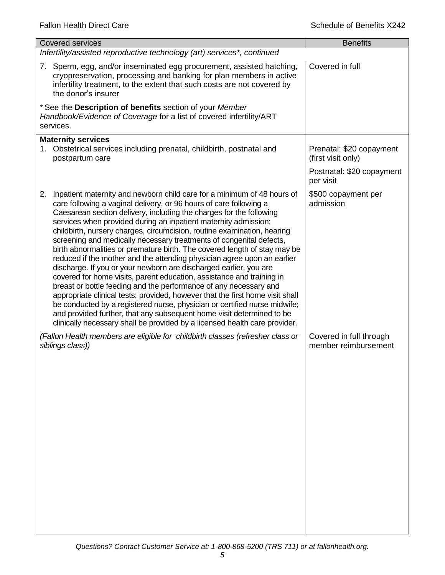| <b>Covered services</b>                                                                                                                                                                                                                                                                                                                                                                                                                                                                                                                                                                                                                                                                                                                                                                                                                                                                                                                                                                                                                                                                                                                         | <b>Benefits</b>                                 |
|-------------------------------------------------------------------------------------------------------------------------------------------------------------------------------------------------------------------------------------------------------------------------------------------------------------------------------------------------------------------------------------------------------------------------------------------------------------------------------------------------------------------------------------------------------------------------------------------------------------------------------------------------------------------------------------------------------------------------------------------------------------------------------------------------------------------------------------------------------------------------------------------------------------------------------------------------------------------------------------------------------------------------------------------------------------------------------------------------------------------------------------------------|-------------------------------------------------|
| Infertility/assisted reproductive technology (art) services*, continued                                                                                                                                                                                                                                                                                                                                                                                                                                                                                                                                                                                                                                                                                                                                                                                                                                                                                                                                                                                                                                                                         |                                                 |
| 7. Sperm, egg, and/or inseminated egg procurement, assisted hatching,<br>cryopreservation, processing and banking for plan members in active<br>infertility treatment, to the extent that such costs are not covered by<br>the donor's insurer                                                                                                                                                                                                                                                                                                                                                                                                                                                                                                                                                                                                                                                                                                                                                                                                                                                                                                  | Covered in full                                 |
| * See the Description of benefits section of your Member<br>Handbook/Evidence of Coverage for a list of covered infertility/ART<br>services.                                                                                                                                                                                                                                                                                                                                                                                                                                                                                                                                                                                                                                                                                                                                                                                                                                                                                                                                                                                                    |                                                 |
| <b>Maternity services</b><br>1. Obstetrical services including prenatal, childbirth, postnatal and<br>postpartum care                                                                                                                                                                                                                                                                                                                                                                                                                                                                                                                                                                                                                                                                                                                                                                                                                                                                                                                                                                                                                           | Prenatal: \$20 copayment<br>(first visit only)  |
|                                                                                                                                                                                                                                                                                                                                                                                                                                                                                                                                                                                                                                                                                                                                                                                                                                                                                                                                                                                                                                                                                                                                                 | Postnatal: \$20 copayment<br>per visit          |
| Inpatient maternity and newborn child care for a minimum of 48 hours of<br>2.<br>care following a vaginal delivery, or 96 hours of care following a<br>Caesarean section delivery, including the charges for the following<br>services when provided during an inpatient maternity admission:<br>childbirth, nursery charges, circumcision, routine examination, hearing<br>screening and medically necessary treatments of congenital defects,<br>birth abnormalities or premature birth. The covered length of stay may be<br>reduced if the mother and the attending physician agree upon an earlier<br>discharge. If you or your newborn are discharged earlier, you are<br>covered for home visits, parent education, assistance and training in<br>breast or bottle feeding and the performance of any necessary and<br>appropriate clinical tests; provided, however that the first home visit shall<br>be conducted by a registered nurse, physician or certified nurse midwife;<br>and provided further, that any subsequent home visit determined to be<br>clinically necessary shall be provided by a licensed health care provider. | \$500 copayment per<br>admission                |
| (Fallon Health members are eligible for childbirth classes (refresher class or<br>siblings class))                                                                                                                                                                                                                                                                                                                                                                                                                                                                                                                                                                                                                                                                                                                                                                                                                                                                                                                                                                                                                                              | Covered in full through<br>member reimbursement |
|                                                                                                                                                                                                                                                                                                                                                                                                                                                                                                                                                                                                                                                                                                                                                                                                                                                                                                                                                                                                                                                                                                                                                 |                                                 |
|                                                                                                                                                                                                                                                                                                                                                                                                                                                                                                                                                                                                                                                                                                                                                                                                                                                                                                                                                                                                                                                                                                                                                 |                                                 |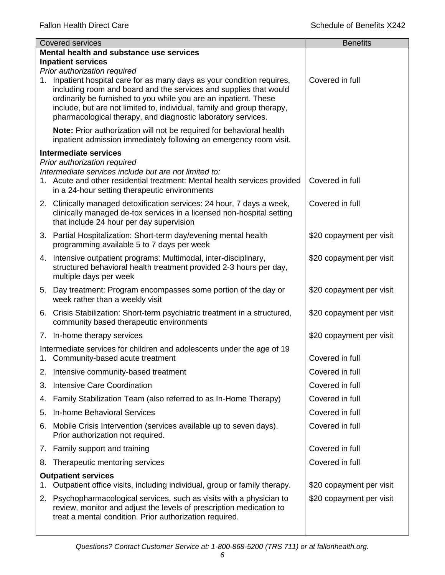|    | <b>Covered services</b>                                                                                                                                                                                                                                                                                                                                    | <b>Benefits</b>          |  |
|----|------------------------------------------------------------------------------------------------------------------------------------------------------------------------------------------------------------------------------------------------------------------------------------------------------------------------------------------------------------|--------------------------|--|
|    | Mental health and substance use services                                                                                                                                                                                                                                                                                                                   |                          |  |
|    | <b>Inpatient services</b><br>Prior authorization required                                                                                                                                                                                                                                                                                                  |                          |  |
|    | 1. Inpatient hospital care for as many days as your condition requires,<br>including room and board and the services and supplies that would<br>ordinarily be furnished to you while you are an inpatient. These<br>include, but are not limited to, individual, family and group therapy,<br>pharmacological therapy, and diagnostic laboratory services. | Covered in full          |  |
|    | Note: Prior authorization will not be required for behavioral health<br>inpatient admission immediately following an emergency room visit.                                                                                                                                                                                                                 |                          |  |
|    | <b>Intermediate services</b>                                                                                                                                                                                                                                                                                                                               |                          |  |
|    | Prior authorization required<br>Intermediate services include but are not limited to:<br>1. Acute and other residential treatment: Mental health services provided<br>in a 24-hour setting therapeutic environments                                                                                                                                        | Covered in full          |  |
|    | 2. Clinically managed detoxification services: 24 hour, 7 days a week,<br>clinically managed de-tox services in a licensed non-hospital setting<br>that include 24 hour per day supervision                                                                                                                                                                | Covered in full          |  |
|    | 3. Partial Hospitalization: Short-term day/evening mental health<br>programming available 5 to 7 days per week                                                                                                                                                                                                                                             | \$20 copayment per visit |  |
|    | 4. Intensive outpatient programs: Multimodal, inter-disciplinary,<br>structured behavioral health treatment provided 2-3 hours per day,<br>multiple days per week                                                                                                                                                                                          | \$20 copayment per visit |  |
|    | 5. Day treatment: Program encompasses some portion of the day or<br>week rather than a weekly visit                                                                                                                                                                                                                                                        | \$20 copayment per visit |  |
|    | 6. Crisis Stabilization: Short-term psychiatric treatment in a structured,<br>community based therapeutic environments                                                                                                                                                                                                                                     | \$20 copayment per visit |  |
|    | 7. In-home therapy services                                                                                                                                                                                                                                                                                                                                | \$20 copayment per visit |  |
|    | Intermediate services for children and adolescents under the age of 19<br>1. Community-based acute treatment                                                                                                                                                                                                                                               | Covered in full          |  |
| 2. | Intensive community-based treatment                                                                                                                                                                                                                                                                                                                        | Covered in full          |  |
| 3. | Intensive Care Coordination                                                                                                                                                                                                                                                                                                                                | Covered in full          |  |
| 4. | Family Stabilization Team (also referred to as In-Home Therapy)                                                                                                                                                                                                                                                                                            | Covered in full          |  |
| 5. | In-home Behavioral Services                                                                                                                                                                                                                                                                                                                                | Covered in full          |  |
| 6. | Mobile Crisis Intervention (services available up to seven days).<br>Prior authorization not required.                                                                                                                                                                                                                                                     | Covered in full          |  |
|    | 7. Family support and training                                                                                                                                                                                                                                                                                                                             | Covered in full          |  |
| 8. | Therapeutic mentoring services                                                                                                                                                                                                                                                                                                                             | Covered in full          |  |
| 1. | <b>Outpatient services</b><br>Outpatient office visits, including individual, group or family therapy.                                                                                                                                                                                                                                                     | \$20 copayment per visit |  |
|    | 2. Psychopharmacological services, such as visits with a physician to<br>review, monitor and adjust the levels of prescription medication to<br>treat a mental condition. Prior authorization required.                                                                                                                                                    | \$20 copayment per visit |  |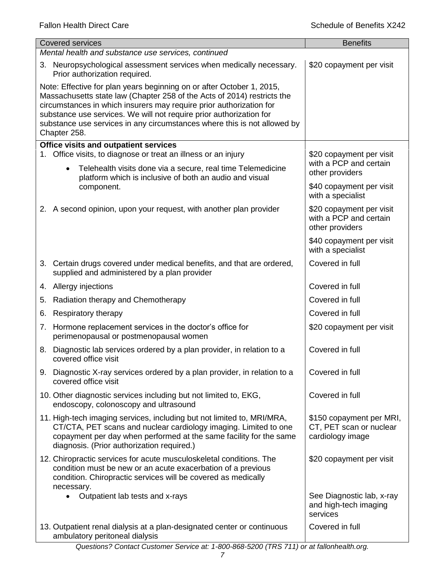| <b>Covered services</b>                                                                                                                                                                                                                                                                                                                                                                    | <b>Benefits</b>                                                         |  |  |
|--------------------------------------------------------------------------------------------------------------------------------------------------------------------------------------------------------------------------------------------------------------------------------------------------------------------------------------------------------------------------------------------|-------------------------------------------------------------------------|--|--|
| Mental health and substance use services, continued                                                                                                                                                                                                                                                                                                                                        |                                                                         |  |  |
| 3. Neuropsychological assessment services when medically necessary.<br>Prior authorization required.                                                                                                                                                                                                                                                                                       | \$20 copayment per visit                                                |  |  |
| Note: Effective for plan years beginning on or after October 1, 2015,<br>Massachusetts state law (Chapter 258 of the Acts of 2014) restricts the<br>circumstances in which insurers may require prior authorization for<br>substance use services. We will not require prior authorization for<br>substance use services in any circumstances where this is not allowed by<br>Chapter 258. |                                                                         |  |  |
| <b>Office visits and outpatient services</b>                                                                                                                                                                                                                                                                                                                                               |                                                                         |  |  |
| 1. Office visits, to diagnose or treat an illness or an injury<br>Telehealth visits done via a secure, real time Telemedicine<br>$\bullet$                                                                                                                                                                                                                                                 | \$20 copayment per visit<br>with a PCP and certain<br>other providers   |  |  |
| platform which is inclusive of both an audio and visual<br>component.                                                                                                                                                                                                                                                                                                                      | \$40 copayment per visit<br>with a specialist                           |  |  |
| 2. A second opinion, upon your request, with another plan provider                                                                                                                                                                                                                                                                                                                         | \$20 copayment per visit<br>with a PCP and certain<br>other providers   |  |  |
|                                                                                                                                                                                                                                                                                                                                                                                            | \$40 copayment per visit<br>with a specialist                           |  |  |
| 3. Certain drugs covered under medical benefits, and that are ordered,<br>supplied and administered by a plan provider                                                                                                                                                                                                                                                                     | Covered in full                                                         |  |  |
| 4. Allergy injections                                                                                                                                                                                                                                                                                                                                                                      | Covered in full                                                         |  |  |
| Radiation therapy and Chemotherapy<br>5.                                                                                                                                                                                                                                                                                                                                                   | Covered in full                                                         |  |  |
| Respiratory therapy<br>6.                                                                                                                                                                                                                                                                                                                                                                  | Covered in full                                                         |  |  |
| Hormone replacement services in the doctor's office for<br>7.<br>perimenopausal or postmenopausal women                                                                                                                                                                                                                                                                                    | \$20 copayment per visit                                                |  |  |
| Diagnostic lab services ordered by a plan provider, in relation to a<br>8.<br>covered office visit                                                                                                                                                                                                                                                                                         | Covered in full                                                         |  |  |
| 9. Diagnostic X-ray services ordered by a plan provider, in relation to a<br>covered office visit                                                                                                                                                                                                                                                                                          | Covered in full                                                         |  |  |
| 10. Other diagnostic services including but not limited to, EKG,<br>endoscopy, colonoscopy and ultrasound                                                                                                                                                                                                                                                                                  | Covered in full                                                         |  |  |
| 11. High-tech imaging services, including but not limited to, MRI/MRA,<br>CT/CTA, PET scans and nuclear cardiology imaging. Limited to one<br>copayment per day when performed at the same facility for the same<br>diagnosis. (Prior authorization required.)                                                                                                                             | \$150 copayment per MRI,<br>CT, PET scan or nuclear<br>cardiology image |  |  |
| 12. Chiropractic services for acute musculoskeletal conditions. The<br>condition must be new or an acute exacerbation of a previous<br>condition. Chiropractic services will be covered as medically<br>necessary.                                                                                                                                                                         | \$20 copayment per visit                                                |  |  |
| Outpatient lab tests and x-rays                                                                                                                                                                                                                                                                                                                                                            | See Diagnostic lab, x-ray<br>and high-tech imaging<br>services          |  |  |
| 13. Outpatient renal dialysis at a plan-designated center or continuous<br>ambulatory peritoneal dialysis                                                                                                                                                                                                                                                                                  | Covered in full                                                         |  |  |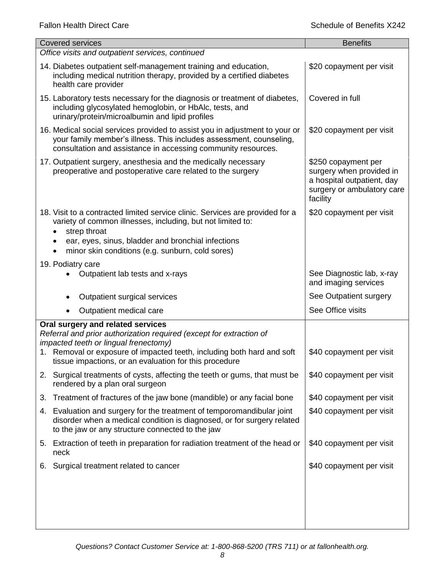| <b>Covered services</b>                                                                                                                                                                                                     | <b>Benefits</b>                                                                                                         |
|-----------------------------------------------------------------------------------------------------------------------------------------------------------------------------------------------------------------------------|-------------------------------------------------------------------------------------------------------------------------|
| Office visits and outpatient services, continued                                                                                                                                                                            |                                                                                                                         |
| 14. Diabetes outpatient self-management training and education,<br>including medical nutrition therapy, provided by a certified diabetes<br>health care provider                                                            | \$20 copayment per visit                                                                                                |
| 15. Laboratory tests necessary for the diagnosis or treatment of diabetes,<br>including glycosylated hemoglobin, or HbAlc, tests, and<br>urinary/protein/microalbumin and lipid profiles                                    | Covered in full                                                                                                         |
| 16. Medical social services provided to assist you in adjustment to your or<br>your family member's illness. This includes assessment, counseling,<br>consultation and assistance in accessing community resources.         | \$20 copayment per visit                                                                                                |
| 17. Outpatient surgery, anesthesia and the medically necessary<br>preoperative and postoperative care related to the surgery                                                                                                | \$250 copayment per<br>surgery when provided in<br>a hospital outpatient, day<br>surgery or ambulatory care<br>facility |
| 18. Visit to a contracted limited service clinic. Services are provided for a<br>variety of common illnesses, including, but not limited to:<br>strep throat                                                                | \$20 copayment per visit                                                                                                |
| ear, eyes, sinus, bladder and bronchial infections<br>minor skin conditions (e.g. sunburn, cold sores)                                                                                                                      |                                                                                                                         |
| 19. Podiatry care                                                                                                                                                                                                           |                                                                                                                         |
| Outpatient lab tests and x-rays                                                                                                                                                                                             | See Diagnostic lab, x-ray<br>and imaging services                                                                       |
| Outpatient surgical services                                                                                                                                                                                                | See Outpatient surgery                                                                                                  |
| Outpatient medical care                                                                                                                                                                                                     | See Office visits                                                                                                       |
| Oral surgery and related services<br>Referral and prior authorization required (except for extraction of<br>impacted teeth or lingual frenectomy)<br>1. Removal or exposure of impacted teeth, including both hard and soft | \$40 copayment per visit                                                                                                |
| tissue impactions, or an evaluation for this procedure                                                                                                                                                                      |                                                                                                                         |
| 2. Surgical treatments of cysts, affecting the teeth or gums, that must be<br>rendered by a plan oral surgeon                                                                                                               | \$40 copayment per visit                                                                                                |
| Treatment of fractures of the jaw bone (mandible) or any facial bone<br>3.                                                                                                                                                  | \$40 copayment per visit                                                                                                |
| 4. Evaluation and surgery for the treatment of temporomandibular joint<br>disorder when a medical condition is diagnosed, or for surgery related<br>to the jaw or any structure connected to the jaw                        | \$40 copayment per visit                                                                                                |
| 5. Extraction of teeth in preparation for radiation treatment of the head or<br>neck                                                                                                                                        | \$40 copayment per visit                                                                                                |
| Surgical treatment related to cancer<br>6.                                                                                                                                                                                  | \$40 copayment per visit                                                                                                |
|                                                                                                                                                                                                                             |                                                                                                                         |
|                                                                                                                                                                                                                             |                                                                                                                         |
|                                                                                                                                                                                                                             |                                                                                                                         |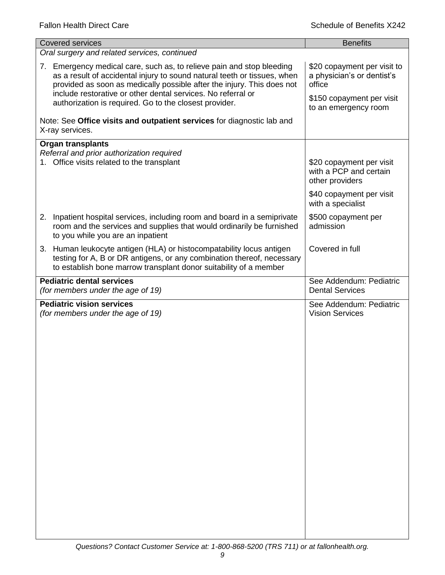| <b>Covered services</b>                                                                                                                                                                                                                                                                                                                               | <b>Benefits</b>                                                                                                          |  |  |
|-------------------------------------------------------------------------------------------------------------------------------------------------------------------------------------------------------------------------------------------------------------------------------------------------------------------------------------------------------|--------------------------------------------------------------------------------------------------------------------------|--|--|
| Oral surgery and related services, continued                                                                                                                                                                                                                                                                                                          |                                                                                                                          |  |  |
| 7. Emergency medical care, such as, to relieve pain and stop bleeding<br>as a result of accidental injury to sound natural teeth or tissues, when<br>provided as soon as medically possible after the injury. This does not<br>include restorative or other dental services. No referral or<br>authorization is required. Go to the closest provider. | \$20 copayment per visit to<br>a physician's or dentist's<br>office<br>\$150 copayment per visit<br>to an emergency room |  |  |
| Note: See Office visits and outpatient services for diagnostic lab and<br>X-ray services.                                                                                                                                                                                                                                                             |                                                                                                                          |  |  |
| <b>Organ transplants</b><br>Referral and prior authorization required<br>1. Office visits related to the transplant                                                                                                                                                                                                                                   | \$20 copayment per visit<br>with a PCP and certain<br>other providers                                                    |  |  |
|                                                                                                                                                                                                                                                                                                                                                       | \$40 copayment per visit<br>with a specialist                                                                            |  |  |
| 2. Inpatient hospital services, including room and board in a semiprivate<br>room and the services and supplies that would ordinarily be furnished<br>to you while you are an inpatient                                                                                                                                                               | \$500 copayment per<br>admission                                                                                         |  |  |
| 3. Human leukocyte antigen (HLA) or histocompatability locus antigen<br>testing for A, B or DR antigens, or any combination thereof, necessary<br>to establish bone marrow transplant donor suitability of a member                                                                                                                                   | Covered in full                                                                                                          |  |  |
| <b>Pediatric dental services</b><br>(for members under the age of 19)                                                                                                                                                                                                                                                                                 | See Addendum: Pediatric<br><b>Dental Services</b>                                                                        |  |  |
| <b>Pediatric vision services</b><br>(for members under the age of 19)                                                                                                                                                                                                                                                                                 | See Addendum: Pediatric<br><b>Vision Services</b>                                                                        |  |  |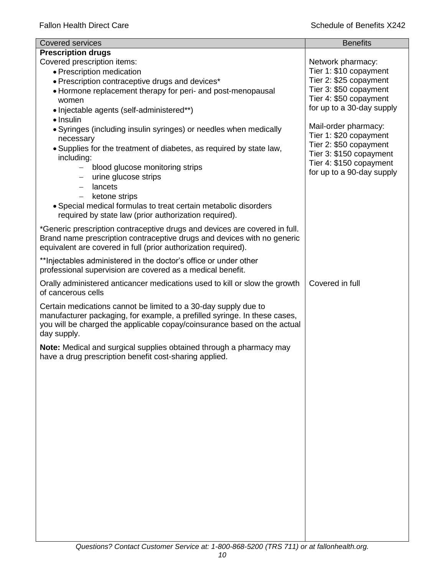| <b>Covered services</b>                                                    | <b>Benefits</b>                                    |
|----------------------------------------------------------------------------|----------------------------------------------------|
| <b>Prescription drugs</b>                                                  |                                                    |
| Covered prescription items:                                                | Network pharmacy:                                  |
| • Prescription medication                                                  | Tier 1: \$10 copayment                             |
| • Prescription contraceptive drugs and devices*                            | Tier 2: \$25 copayment                             |
| • Hormone replacement therapy for peri- and post-menopausal                | Tier 3: \$50 copayment                             |
| women                                                                      | Tier 4: \$50 copayment                             |
| • Injectable agents (self-administered**)                                  | for up to a 30-day supply                          |
| · Insulin                                                                  |                                                    |
| • Syringes (including insulin syringes) or needles when medically          | Mail-order pharmacy:                               |
| necessary                                                                  | Tier 1: \$20 copayment                             |
| • Supplies for the treatment of diabetes, as required by state law,        | Tier 2: \$50 copayment                             |
| including:                                                                 | Tier 3: \$150 copayment<br>Tier 4: \$150 copayment |
| blood glucose monitoring strips                                            | for up to a 90-day supply                          |
| urine glucose strips                                                       |                                                    |
| lancets<br>$\qquad \qquad -$                                               |                                                    |
| ketone strips<br>$\overline{\phantom{0}}$                                  |                                                    |
| • Special medical formulas to treat certain metabolic disorders            |                                                    |
| required by state law (prior authorization required).                      |                                                    |
| *Generic prescription contraceptive drugs and devices are covered in full. |                                                    |
| Brand name prescription contraceptive drugs and devices with no generic    |                                                    |
| equivalent are covered in full (prior authorization required).             |                                                    |
|                                                                            |                                                    |
| ** Injectables administered in the doctor's office or under other          |                                                    |
| professional supervision are covered as a medical benefit.                 |                                                    |
| Orally administered anticancer medications used to kill or slow the growth | Covered in full                                    |
| of cancerous cells                                                         |                                                    |
| Certain medications cannot be limited to a 30-day supply due to            |                                                    |
| manufacturer packaging, for example, a prefilled syringe. In these cases,  |                                                    |
| you will be charged the applicable copay/coinsurance based on the actual   |                                                    |
| day supply.                                                                |                                                    |
| Note: Medical and surgical supplies obtained through a pharmacy may        |                                                    |
| have a drug prescription benefit cost-sharing applied.                     |                                                    |
|                                                                            |                                                    |
|                                                                            |                                                    |
|                                                                            |                                                    |
|                                                                            |                                                    |
|                                                                            |                                                    |
|                                                                            |                                                    |
|                                                                            |                                                    |
|                                                                            |                                                    |
|                                                                            |                                                    |
|                                                                            |                                                    |
|                                                                            |                                                    |
|                                                                            |                                                    |
|                                                                            |                                                    |
|                                                                            |                                                    |
|                                                                            |                                                    |
|                                                                            |                                                    |
|                                                                            |                                                    |
|                                                                            |                                                    |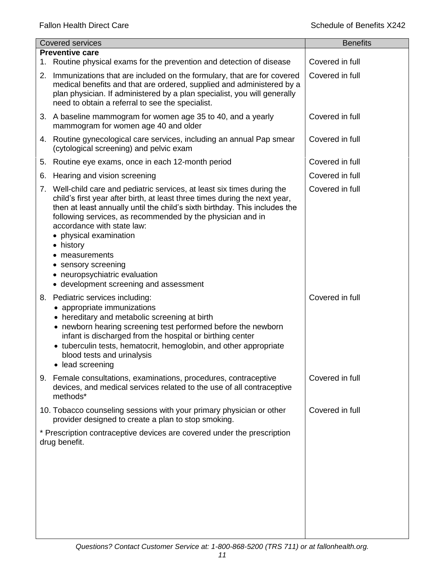|    | <b>Covered services</b>                                                                                                                                                                                                                                                                                                                                                                                                                                                             | <b>Benefits</b> |
|----|-------------------------------------------------------------------------------------------------------------------------------------------------------------------------------------------------------------------------------------------------------------------------------------------------------------------------------------------------------------------------------------------------------------------------------------------------------------------------------------|-----------------|
|    | <b>Preventive care</b>                                                                                                                                                                                                                                                                                                                                                                                                                                                              |                 |
| 1. | Routine physical exams for the prevention and detection of disease                                                                                                                                                                                                                                                                                                                                                                                                                  | Covered in full |
| 2. | Immunizations that are included on the formulary, that are for covered<br>medical benefits and that are ordered, supplied and administered by a<br>plan physician. If administered by a plan specialist, you will generally<br>need to obtain a referral to see the specialist.                                                                                                                                                                                                     | Covered in full |
|    | 3. A baseline mammogram for women age 35 to 40, and a yearly<br>mammogram for women age 40 and older                                                                                                                                                                                                                                                                                                                                                                                | Covered in full |
|    | 4. Routine gynecological care services, including an annual Pap smear<br>(cytological screening) and pelvic exam                                                                                                                                                                                                                                                                                                                                                                    | Covered in full |
| 5. | Routine eye exams, once in each 12-month period                                                                                                                                                                                                                                                                                                                                                                                                                                     | Covered in full |
| 6. | Hearing and vision screening                                                                                                                                                                                                                                                                                                                                                                                                                                                        | Covered in full |
|    | 7. Well-child care and pediatric services, at least six times during the<br>child's first year after birth, at least three times during the next year,<br>then at least annually until the child's sixth birthday. This includes the<br>following services, as recommended by the physician and in<br>accordance with state law:<br>physical examination<br>• history<br>measurements<br>sensory screening<br>neuropsychiatric evaluation<br>• development screening and assessment | Covered in full |
| 8. | Pediatric services including:<br>• appropriate immunizations<br>• hereditary and metabolic screening at birth<br>• newborn hearing screening test performed before the newborn<br>infant is discharged from the hospital or birthing center<br>• tuberculin tests, hematocrit, hemoglobin, and other appropriate<br>blood tests and urinalysis<br>• lead screening                                                                                                                  | Covered in full |
|    | 9. Female consultations, examinations, procedures, contraceptive<br>devices, and medical services related to the use of all contraceptive<br>methods*                                                                                                                                                                                                                                                                                                                               | Covered in full |
|    | 10. Tobacco counseling sessions with your primary physician or other<br>provider designed to create a plan to stop smoking.                                                                                                                                                                                                                                                                                                                                                         | Covered in full |
|    | * Prescription contraceptive devices are covered under the prescription<br>drug benefit.                                                                                                                                                                                                                                                                                                                                                                                            |                 |
|    |                                                                                                                                                                                                                                                                                                                                                                                                                                                                                     |                 |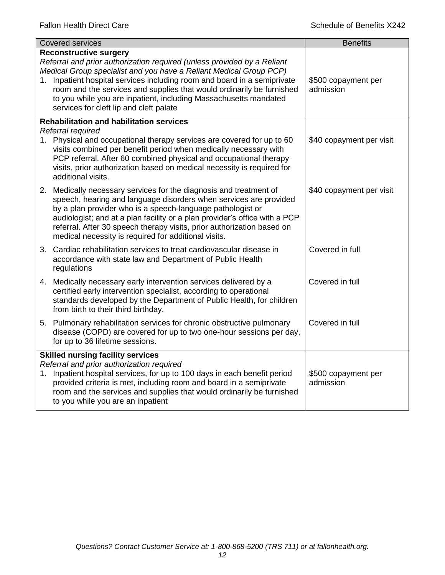| <b>Covered services</b>                                                                                                                                                                                                                                                                                                                                                                                                                            | <b>Benefits</b>                  |  |
|----------------------------------------------------------------------------------------------------------------------------------------------------------------------------------------------------------------------------------------------------------------------------------------------------------------------------------------------------------------------------------------------------------------------------------------------------|----------------------------------|--|
| <b>Reconstructive surgery</b><br>Referral and prior authorization required (unless provided by a Reliant<br>Medical Group specialist and you have a Reliant Medical Group PCP)<br>1. Inpatient hospital services including room and board in a semiprivate<br>room and the services and supplies that would ordinarily be furnished<br>to you while you are inpatient, including Massachusetts mandated<br>services for cleft lip and cleft palate | \$500 copayment per<br>admission |  |
| <b>Rehabilitation and habilitation services</b>                                                                                                                                                                                                                                                                                                                                                                                                    |                                  |  |
| Referral required<br>1. Physical and occupational therapy services are covered for up to 60<br>visits combined per benefit period when medically necessary with<br>PCP referral. After 60 combined physical and occupational therapy<br>visits, prior authorization based on medical necessity is required for<br>additional visits.                                                                                                               | \$40 copayment per visit         |  |
| 2. Medically necessary services for the diagnosis and treatment of<br>speech, hearing and language disorders when services are provided<br>by a plan provider who is a speech-language pathologist or<br>audiologist; and at a plan facility or a plan provider's office with a PCP<br>referral. After 30 speech therapy visits, prior authorization based on<br>medical necessity is required for additional visits.                              | \$40 copayment per visit         |  |
| 3. Cardiac rehabilitation services to treat cardiovascular disease in<br>accordance with state law and Department of Public Health<br>regulations                                                                                                                                                                                                                                                                                                  | Covered in full                  |  |
| 4. Medically necessary early intervention services delivered by a<br>certified early intervention specialist, according to operational<br>standards developed by the Department of Public Health, for children<br>from birth to their third birthday.                                                                                                                                                                                              | Covered in full                  |  |
| 5. Pulmonary rehabilitation services for chronic obstructive pulmonary<br>disease (COPD) are covered for up to two one-hour sessions per day,<br>for up to 36 lifetime sessions.                                                                                                                                                                                                                                                                   | Covered in full                  |  |
| <b>Skilled nursing facility services</b>                                                                                                                                                                                                                                                                                                                                                                                                           |                                  |  |
| Referral and prior authorization required<br>1. Inpatient hospital services, for up to 100 days in each benefit period<br>provided criteria is met, including room and board in a semiprivate<br>room and the services and supplies that would ordinarily be furnished<br>to you while you are an inpatient                                                                                                                                        | \$500 copayment per<br>admission |  |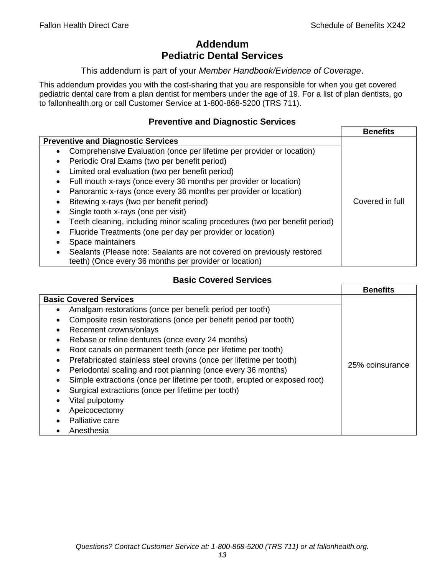# **Addendum Pediatric Dental Services**

#### This addendum is part of your *Member Handbook/Evidence of Coverage*.

This addendum provides you with the cost-sharing that you are responsible for when you get covered pediatric dental care from a plan dentist for members under the age of 19. For a list of plan dentists, go to fallonhealth.org or call Customer Service at 1-800-868-5200 (TRS 711).

## **Preventive and Diagnostic Services**

|                                                                                    | <b>Benefits</b> |
|------------------------------------------------------------------------------------|-----------------|
| <b>Preventive and Diagnostic Services</b>                                          |                 |
| Comprehensive Evaluation (once per lifetime per provider or location)<br>$\bullet$ |                 |
| Periodic Oral Exams (two per benefit period)<br>٠                                  |                 |
| Limited oral evaluation (two per benefit period)<br>٠                              |                 |
| Full mouth x-rays (once every 36 months per provider or location)                  |                 |
| Panoramic x-rays (once every 36 months per provider or location)<br>٠              |                 |
| Bitewing x-rays (two per benefit period)                                           | Covered in full |
| Single tooth x-rays (one per visit)                                                |                 |
| Teeth cleaning, including minor scaling procedures (two per benefit period)        |                 |
| Fluoride Treatments (one per day per provider or location)                         |                 |
| Space maintainers                                                                  |                 |
| Sealants (Please note: Sealants are not covered on previously restored             |                 |
| teeth) (Once every 36 months per provider or location)                             |                 |

# **Basic Covered Services**

|                                                                           | <b>Benefits</b> |
|---------------------------------------------------------------------------|-----------------|
| <b>Basic Covered Services</b>                                             |                 |
| Amalgam restorations (once per benefit period per tooth)<br>$\bullet$     |                 |
| Composite resin restorations (once per benefit period per tooth)          |                 |
| Recement crowns/onlays<br>$\bullet$                                       |                 |
| Rebase or reline dentures (once every 24 months)                          |                 |
| Root canals on permanent teeth (once per lifetime per tooth)<br>$\bullet$ |                 |
| Prefabricated stainless steel crowns (once per lifetime per tooth)        |                 |
| Periodontal scaling and root planning (once every 36 months)<br>$\bullet$ | 25% coinsurance |
| Simple extractions (once per lifetime per tooth, erupted or exposed root) |                 |
| Surgical extractions (once per lifetime per tooth)                        |                 |
| Vital pulpotomy                                                           |                 |
| Apeicocectomy                                                             |                 |
| Palliative care                                                           |                 |
| Anesthesia                                                                |                 |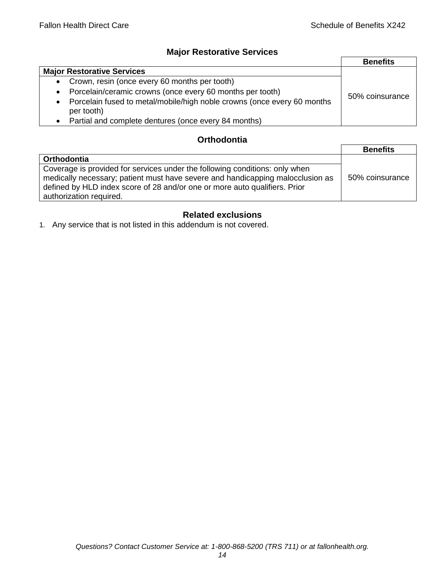# **Major Restorative Services**

|                                                                                                    | <b>Benefits</b> |
|----------------------------------------------------------------------------------------------------|-----------------|
| <b>Major Restorative Services</b>                                                                  |                 |
| Crown, resin (once every 60 months per tooth)<br>$\bullet$                                         |                 |
| Porcelain/ceramic crowns (once every 60 months per tooth)<br>$\bullet$                             | 50% coinsurance |
| Porcelain fused to metal/mobile/high noble crowns (once every 60 months<br>$\bullet$<br>per tooth) |                 |
| Partial and complete dentures (once every 84 months)                                               |                 |

## **Orthodontia**

|                                                                                                                                                                                                                                                                        | <b>Benefits</b> |
|------------------------------------------------------------------------------------------------------------------------------------------------------------------------------------------------------------------------------------------------------------------------|-----------------|
| Orthodontia                                                                                                                                                                                                                                                            |                 |
| Coverage is provided for services under the following conditions: only when<br>medically necessary; patient must have severe and handicapping malocclusion as<br>defined by HLD index score of 28 and/or one or more auto qualifiers. Prior<br>authorization required. | 50% coinsurance |

# **Related exclusions**

1. Any service that is not listed in this addendum is not covered.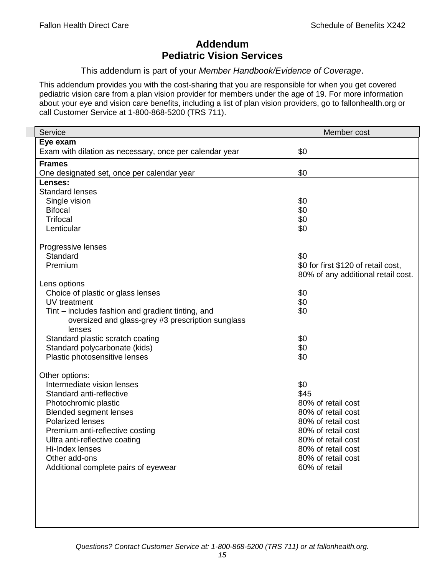# **Addendum Pediatric Vision Services**

This addendum is part of your *Member Handbook/Evidence of Coverage*.

This addendum provides you with the cost-sharing that you are responsible for when you get covered pediatric vision care from a plan vision provider for members under the age of 19. For more information about your eye and vision care benefits, including a list of plan vision providers, go to fallonhealth.org or call Customer Service at 1-800-868-5200 (TRS 711).

| Eye exam<br>\$0<br>Exam with dilation as necessary, once per calendar year<br><b>Frames</b><br>\$0<br>One designated set, once per calendar year<br>Lenses:<br><b>Standard lenses</b><br>\$0<br>Single vision<br>\$0<br><b>Bifocal</b><br><b>Trifocal</b><br>\$0<br>\$0<br>Lenticular<br>Progressive lenses<br>\$0<br>Standard<br>\$0 for first \$120 of retail cost,<br>Premium<br>80% of any additional retail cost.<br>Lens options<br>Choice of plastic or glass lenses<br>\$0<br>\$0<br>UV treatment<br>Tint – includes fashion and gradient tinting, and<br>\$0<br>oversized and glass-grey #3 prescription sunglass<br>lenses<br>\$0<br>Standard plastic scratch coating<br>\$0<br>Standard polycarbonate (kids)<br>\$0<br>Plastic photosensitive lenses<br>Other options:<br>Intermediate vision lenses<br>\$0<br>\$45<br>Standard anti-reflective<br>80% of retail cost<br>Photochromic plastic<br><b>Blended segment lenses</b><br>80% of retail cost |
|-----------------------------------------------------------------------------------------------------------------------------------------------------------------------------------------------------------------------------------------------------------------------------------------------------------------------------------------------------------------------------------------------------------------------------------------------------------------------------------------------------------------------------------------------------------------------------------------------------------------------------------------------------------------------------------------------------------------------------------------------------------------------------------------------------------------------------------------------------------------------------------------------------------------------------------------------------------------|
|                                                                                                                                                                                                                                                                                                                                                                                                                                                                                                                                                                                                                                                                                                                                                                                                                                                                                                                                                                 |
|                                                                                                                                                                                                                                                                                                                                                                                                                                                                                                                                                                                                                                                                                                                                                                                                                                                                                                                                                                 |
|                                                                                                                                                                                                                                                                                                                                                                                                                                                                                                                                                                                                                                                                                                                                                                                                                                                                                                                                                                 |
|                                                                                                                                                                                                                                                                                                                                                                                                                                                                                                                                                                                                                                                                                                                                                                                                                                                                                                                                                                 |
|                                                                                                                                                                                                                                                                                                                                                                                                                                                                                                                                                                                                                                                                                                                                                                                                                                                                                                                                                                 |
|                                                                                                                                                                                                                                                                                                                                                                                                                                                                                                                                                                                                                                                                                                                                                                                                                                                                                                                                                                 |
|                                                                                                                                                                                                                                                                                                                                                                                                                                                                                                                                                                                                                                                                                                                                                                                                                                                                                                                                                                 |
|                                                                                                                                                                                                                                                                                                                                                                                                                                                                                                                                                                                                                                                                                                                                                                                                                                                                                                                                                                 |
|                                                                                                                                                                                                                                                                                                                                                                                                                                                                                                                                                                                                                                                                                                                                                                                                                                                                                                                                                                 |
|                                                                                                                                                                                                                                                                                                                                                                                                                                                                                                                                                                                                                                                                                                                                                                                                                                                                                                                                                                 |
|                                                                                                                                                                                                                                                                                                                                                                                                                                                                                                                                                                                                                                                                                                                                                                                                                                                                                                                                                                 |
|                                                                                                                                                                                                                                                                                                                                                                                                                                                                                                                                                                                                                                                                                                                                                                                                                                                                                                                                                                 |
|                                                                                                                                                                                                                                                                                                                                                                                                                                                                                                                                                                                                                                                                                                                                                                                                                                                                                                                                                                 |
|                                                                                                                                                                                                                                                                                                                                                                                                                                                                                                                                                                                                                                                                                                                                                                                                                                                                                                                                                                 |
|                                                                                                                                                                                                                                                                                                                                                                                                                                                                                                                                                                                                                                                                                                                                                                                                                                                                                                                                                                 |
|                                                                                                                                                                                                                                                                                                                                                                                                                                                                                                                                                                                                                                                                                                                                                                                                                                                                                                                                                                 |
|                                                                                                                                                                                                                                                                                                                                                                                                                                                                                                                                                                                                                                                                                                                                                                                                                                                                                                                                                                 |
|                                                                                                                                                                                                                                                                                                                                                                                                                                                                                                                                                                                                                                                                                                                                                                                                                                                                                                                                                                 |
|                                                                                                                                                                                                                                                                                                                                                                                                                                                                                                                                                                                                                                                                                                                                                                                                                                                                                                                                                                 |
|                                                                                                                                                                                                                                                                                                                                                                                                                                                                                                                                                                                                                                                                                                                                                                                                                                                                                                                                                                 |
|                                                                                                                                                                                                                                                                                                                                                                                                                                                                                                                                                                                                                                                                                                                                                                                                                                                                                                                                                                 |
|                                                                                                                                                                                                                                                                                                                                                                                                                                                                                                                                                                                                                                                                                                                                                                                                                                                                                                                                                                 |
|                                                                                                                                                                                                                                                                                                                                                                                                                                                                                                                                                                                                                                                                                                                                                                                                                                                                                                                                                                 |
|                                                                                                                                                                                                                                                                                                                                                                                                                                                                                                                                                                                                                                                                                                                                                                                                                                                                                                                                                                 |
|                                                                                                                                                                                                                                                                                                                                                                                                                                                                                                                                                                                                                                                                                                                                                                                                                                                                                                                                                                 |
|                                                                                                                                                                                                                                                                                                                                                                                                                                                                                                                                                                                                                                                                                                                                                                                                                                                                                                                                                                 |
|                                                                                                                                                                                                                                                                                                                                                                                                                                                                                                                                                                                                                                                                                                                                                                                                                                                                                                                                                                 |
|                                                                                                                                                                                                                                                                                                                                                                                                                                                                                                                                                                                                                                                                                                                                                                                                                                                                                                                                                                 |
| <b>Polarized lenses</b><br>80% of retail cost                                                                                                                                                                                                                                                                                                                                                                                                                                                                                                                                                                                                                                                                                                                                                                                                                                                                                                                   |
| 80% of retail cost<br>Premium anti-reflective costing                                                                                                                                                                                                                                                                                                                                                                                                                                                                                                                                                                                                                                                                                                                                                                                                                                                                                                           |
| Ultra anti-reflective coating<br>80% of retail cost                                                                                                                                                                                                                                                                                                                                                                                                                                                                                                                                                                                                                                                                                                                                                                                                                                                                                                             |
| Hi-Index lenses<br>80% of retail cost                                                                                                                                                                                                                                                                                                                                                                                                                                                                                                                                                                                                                                                                                                                                                                                                                                                                                                                           |
| 80% of retail cost<br>Other add-ons                                                                                                                                                                                                                                                                                                                                                                                                                                                                                                                                                                                                                                                                                                                                                                                                                                                                                                                             |
| 60% of retail<br>Additional complete pairs of eyewear                                                                                                                                                                                                                                                                                                                                                                                                                                                                                                                                                                                                                                                                                                                                                                                                                                                                                                           |
|                                                                                                                                                                                                                                                                                                                                                                                                                                                                                                                                                                                                                                                                                                                                                                                                                                                                                                                                                                 |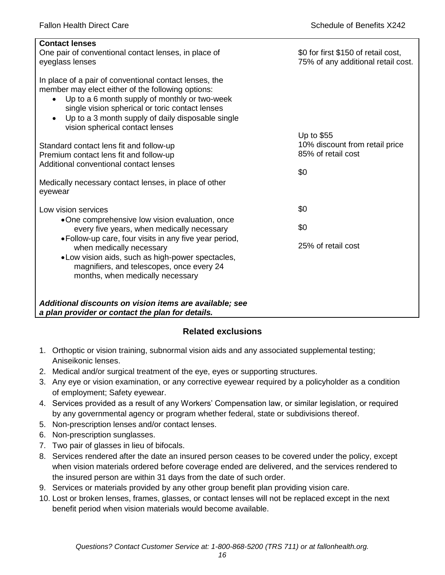| <b>Contact lenses</b><br>One pair of conventional contact lenses, in place of<br>eyeglass lenses                                                                                                                                                                                                                     | \$0 for first \$150 of retail cost,<br>75% of any additional retail cost. |
|----------------------------------------------------------------------------------------------------------------------------------------------------------------------------------------------------------------------------------------------------------------------------------------------------------------------|---------------------------------------------------------------------------|
| In place of a pair of conventional contact lenses, the<br>member may elect either of the following options:<br>Up to a 6 month supply of monthly or two-week<br>$\bullet$<br>single vision spherical or toric contact lenses<br>Up to a 3 month supply of daily disposable single<br>vision spherical contact lenses |                                                                           |
|                                                                                                                                                                                                                                                                                                                      | Up to \$55<br>10% discount from retail price                              |
| Standard contact lens fit and follow-up<br>Premium contact lens fit and follow-up                                                                                                                                                                                                                                    | 85% of retail cost                                                        |
| Additional conventional contact lenses                                                                                                                                                                                                                                                                               |                                                                           |
| Medically necessary contact lenses, in place of other<br>eyewear                                                                                                                                                                                                                                                     | \$0                                                                       |
| Low vision services                                                                                                                                                                                                                                                                                                  | \$0                                                                       |
| •One comprehensive low vision evaluation, once<br>every five years, when medically necessary                                                                                                                                                                                                                         | \$0                                                                       |
| • Follow-up care, four visits in any five year period,<br>when medically necessary<br>.Low vision aids, such as high-power spectacles,<br>magnifiers, and telescopes, once every 24<br>months, when medically necessary                                                                                              | 25% of retail cost                                                        |
| Additional discounts on vision items are available; see<br>a plan provider or contact the plan for details.                                                                                                                                                                                                          |                                                                           |

# **Related exclusions**

- 1. Orthoptic or vision training, subnormal vision aids and any associated supplemental testing; Aniseikonic lenses.
- 2. Medical and/or surgical treatment of the eye, eyes or supporting structures.
- 3. Any eye or vision examination, or any corrective eyewear required by a policyholder as a condition of employment; Safety eyewear.
- 4. Services provided as a result of any Workers' Compensation law, or similar legislation, or required by any governmental agency or program whether federal, state or subdivisions thereof.
- 5. Non-prescription lenses and/or contact lenses.
- 6. Non-prescription sunglasses.
- 7. Two pair of glasses in lieu of bifocals.
- 8. Services rendered after the date an insured person ceases to be covered under the policy, except when vision materials ordered before coverage ended are delivered, and the services rendered to the insured person are within 31 days from the date of such order.
- 9. Services or materials provided by any other group benefit plan providing vision care.
- 10. Lost or broken lenses, frames, glasses, or contact lenses will not be replaced except in the next benefit period when vision materials would become available.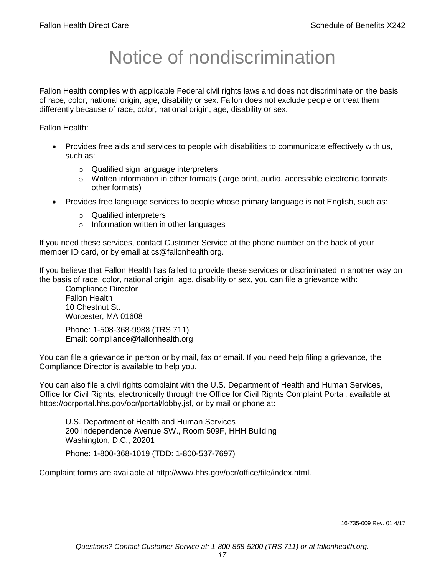# Notice of nondiscrimination

Fallon Health complies with applicable Federal civil rights laws and does not discriminate on the basis of race, color, national origin, age, disability or sex. Fallon does not exclude people or treat them differently because of race, color, national origin, age, disability or sex.

Fallon Health:

- Provides free aids and services to people with disabilities to communicate effectively with us, such as:
	- o Qualified sign language interpreters
	- $\circ$  Written information in other formats (large print, audio, accessible electronic formats, other formats)
- Provides free language services to people whose primary language is not English, such as:
	- o Qualified interpreters
	- o Information written in other languages

If you need these services, contact Customer Service at the phone number on the back of your member ID card, or by email at cs@fallonhealth.org.

If you believe that Fallon Health has failed to provide these services or discriminated in another way on the basis of race, color, national origin, age, disability or sex, you can file a grievance with:

Compliance Director Fallon Health 10 Chestnut St. Worcester, MA 01608

Phone: 1-508-368-9988 (TRS 711) Email: compliance@fallonhealth.org

You can file a grievance in person or by mail, fax or email. If you need help filing a grievance, the Compliance Director is available to help you.

You can also file a civil rights complaint with the U.S. Department of Health and Human Services, Office for Civil Rights, electronically through the Office for Civil Rights Complaint Portal, available at https://ocrportal.hhs.gov/ocr/portal/lobby.jsf, or by mail or phone at:

U.S. Department of Health and Human Services 200 Independence Avenue SW., Room 509F, HHH Building Washington, D.C., 20201

Phone: 1-800-368-1019 (TDD: 1-800-537-7697)

Complaint forms are available at http://www.hhs.gov/ocr/office/file/index.html.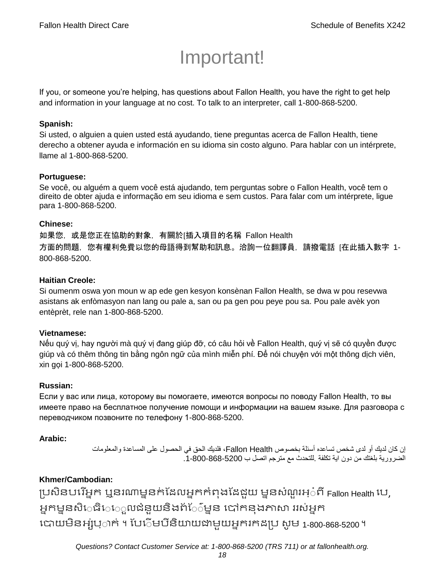# Important!

If you, or someone you're helping, has questions about Fallon Health, you have the right to get help and information in your language at no cost. To talk to an interpreter, call 1-800-868-5200.

#### **Spanish:**

Si usted, o alguien a quien usted está ayudando, tiene preguntas acerca de Fallon Health, tiene derecho a obtener ayuda e información en su idioma sin costo alguno. Para hablar con un intérprete, llame al 1-800-868-5200.

#### **Portuguese:**

Se você, ou alguém a quem você está ajudando, tem perguntas sobre o Fallon Health, você tem o direito de obter ajuda e informação em seu idioma e sem custos. Para falar com um intérprete, ligue para 1-800-868-5200.

#### **Chinese:**

如果您,或是您正在協助的對象,有關於[插入項目的名稱 Fallon Health 方面的問題,您有權利免費以您的母語得到幫助和訊息。洽詢一位翻譯員,請撥電話 [在此插入數字 1- 800-868-5200.

#### **Haitian Creole:**

Si oumenm oswa yon moun w ap ede gen kesyon konsènan Fallon Health, se dwa w pou resevwa asistans ak enfòmasyon nan lang ou pale a, san ou pa gen pou peye pou sa. Pou pale avèk yon entèprèt, rele nan 1-800-868-5200.

#### **Vietnamese:**

Nếu quý vị, hay người mà quý vị đang giúp đỡ, có câu hỏi về Fallon Health, quý vị sẽ có quyền được giúp và có thêm thông tin bằng ngôn ngữ của mình miễn phí. Để nói chuyện với một thông dịch viên, xin gọi 1-800-868-5200.

#### **Russian:**

Если у вас или лица, которому вы помогаете, имеются вопросы по поводу Fallon Health, то вы имеете право на бесплатное получение помощи и информации на вашем языке. Для разговора с переводчиком позвоните по телефону 1-800-868-5200.

#### **Arabic:**

إن كان لديك أو لدى شخص تساعده أسئلة بخصوص Health Fallon، فلديك الحق في الحصول على المساعدة والمعلومات الضرورية بلغتك من دون اية تكلفة .للتحدث مع مترجم اتصل ب .1-800-868-5200

## **Khmer/Cambodian:**

ប្រសិនបរើអ្នក ឬនរណាម្ននក់ដែលអ្នកកំពុងដែជួយ ម្ននសំណួរអ្៎ពី Fallon Health បេ, អ្នកម្ននសិេធិេេ្លលជំនួយនិងព័ែ៌ម្នន បៅកនុងភាសា ររស់អ្នក រោយម្ិនអ្ស់រ្ំ ក់ ។ ដររំម្ រនី ិយាយជាម្ួយអ្នក កែប្រ សូ ម្ 1-800-868-5200 ។

*Questions? Contact Customer Service at: 1-800-868-5200 (TRS 711) or at fallonhealth.org.*